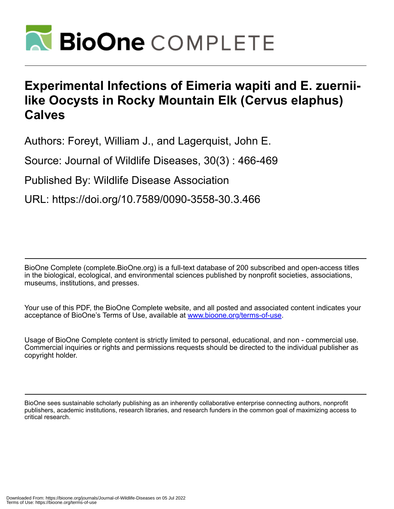

## **Experimental Infections of Eimeria wapiti and E. zuerniilike Oocysts in Rocky Mountain Elk (Cervus elaphus) Calves**

Authors: Foreyt, William J., and Lagerquist, John E.

Source: Journal of Wildlife Diseases, 30(3) : 466-469

Published By: Wildlife Disease Association

URL: https://doi.org/10.7589/0090-3558-30.3.466

BioOne Complete (complete.BioOne.org) is a full-text database of 200 subscribed and open-access titles in the biological, ecological, and environmental sciences published by nonprofit societies, associations, museums, institutions, and presses.

Your use of this PDF, the BioOne Complete website, and all posted and associated content indicates your acceptance of BioOne's Terms of Use, available at www.bioone.org/terms-of-use.

Usage of BioOne Complete content is strictly limited to personal, educational, and non - commercial use. Commercial inquiries or rights and permissions requests should be directed to the individual publisher as copyright holder.

BioOne sees sustainable scholarly publishing as an inherently collaborative enterprise connecting authors, nonprofit publishers, academic institutions, research libraries, and research funders in the common goal of maximizing access to critical research.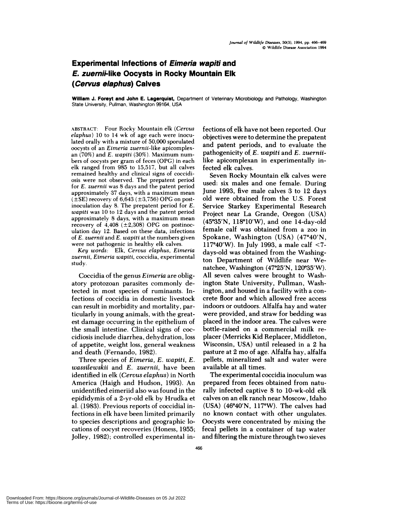## **Experimental Infections of Eimeria wapiti and E. zuerniilike Oocysts in Rocky Mountain Elk (Cervus elaphus) Calves**

**William J. Foreyt and John E. Lagerquist,** Department of Veterinary Microbiology and Pathology, Washington State University, Pullman, Washington 99164, USA

ABSTRACT: Four Rocky Mountain elk *(Cervus elaphus)* 10 to 14 wk of age each were inoculated orally with a mixture of 50,000 sporulated oocysts of an *Eimeria zuernii-like* apicomplex an (70%) and *E. wapiti* **(30%).** Maximum num hers of oocysts per gram of feces (OPG) in each elk ranged from 985 to 15,517, but all calves remained healthy and clinical signs of coccidi osis were not observed. The prepatent period for *E. zuernii* was 8 days and the patent period approximately 37 days, with a maximum mean **(±SE)** recovery of 6,643 (±3,756) OPG on postinoculation day 8. The prepatent period for *E. wapiti* was 10 to 12 days and the patent period approximately 8 days, with a maximum mean recovery of  $4,408$  ( $\pm 2,308$ ) OPG on postinoculation day 12. Based on these data, infections of *E. zuernii* and *E.wapiti* at the numbers given **were** not pathogenic in healthy elk calves.

*Key words:* Elk, *Cervus elaphus, Eimeria zuernii, Eimeria wapiti,* coccidia, experimental study.

Coccidia of the genus *Eimeria* are obligatory protozoan parasites commonly detected in most species of ruminants. Infections of coccidia in domestic livestock can result in morbidity and mortality, panticulanly in young animals, with the greatest damage occurring in the epithelium of the small intestine. Clinical signs of coc cidiosis include diarrhea, dehydration, loss of appetite, weight loss, general weakness and death (Fernando, 1982).

Three species of *Eirneria, E. wapiti, E. wassilewskii* and *E. zuernii,* have been identified in elk *(Cervus elaphus)* in North America (Haigh and Hudson, 1993). An unidentified eimeniid also was found in the epididymis of a 2-yr-old elk by Hrudka et al. (1983). Previous reports of coccidial infections in elk have been limited primarily to species descriptions and geographic locations of oocyst recoveries (Honess, 1955; Jolley, 1982); controlled experimental infections of elk have not been reported. Our objectives were to determine the prepatent and patent periods, and to evaluate the pathogenicity of, *E. wapiti* and *E. zuernii*like apicomplexan in experimentally infected elk calves.

Seven Rocky Mountain elk calves were used: six males and one female. During June 1993, five male calves 3 to 12 days old were obtained from the U.S. Forest Service Starkey Experimental Research Project near La Grande, Oregon (USA) (45°35'N, 118°10'W), and one 14-day-old female calf was obtained from a zoo in Spokane, Washington (USA) (47°40'N, 117°40'W). In July 1993, a male calf  $<$ 7days-old was obtained from the Washington Department of Wildlife near Wenatchee, Washington  $(47°25'N, 120°35'W)$ . All seven calves were brought to Washington State University, Pullman, Washington, and housed in a facility with a con crete floor and which allowed free access indoors or outdoors. Alfalfa hay and water were provided, and straw for bedding was placed in the indoor area. The calves were bottle-raised on a commercial milk re placer (Mennicks Kid Replacer, Middleton, Wisconsin, USA) until released in a 2 ha pasture at 2 mo of age. Alfalfa hay, alfalfa pellets, mineralized salt and water were available at all times.

The experimental coccidia inoculum was prepared from feces obtained from naturally infected captive 8 to 10-wk-old elk calves on an elk ranch near Moscow, Idaho (USA)  $(46°40'N, 117°W)$ . The calves had no known contact with other ungulates. Oocysts were concentrated by mixing the fecal pellets in a container of tap water and filtering the mixture through two sieves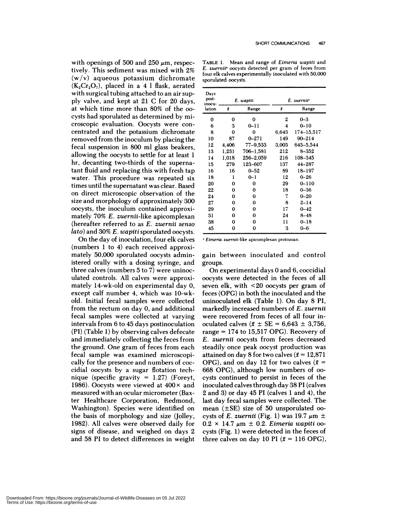with openings of 500 and 250  $\mu$ m, respectively. This sediment was mixed with 2%  $(w/v)$  aqueous potassium dichromate  $(K_2Cr_2O_7)$ , placed in a 4 l flask, aerated with surgical tubing attached to an air supply valve, and kept at 21 C for 20 days, at which time more than 80% of the oo cysts had sporulated as determined by microscopic evaluation. Oocysts were concentrated and the potassium dichromate removed from the inoculum by placing the fecal suspension in 800 ml glass beakers, allowing the oocysts to settle for at least 1 hr, decanting two-thirds of the supernatant fluid and replacing this with fresh tap water. This procedure was repeated six times until the supernatant was clear. Based on direct microscopic observation of the size and morphology of approximately 300 oocysts, the inoculum contained approximately 70% *E. zuernii-like* apicomplexan **(**hereafter referred to as *E. zuernii senso lato)* and 30% *E. wapiti* sporulated oocysts.

On the day of inoculation, four elk calves **(**numbers 1 to 4) each received approximately 50,000 sporulated oocysts administered orally with a dosing syringe, and three calves (numbers 5 to 7) were uninoculated controls. All calves were approximately 14-wk-old on experimental day 0, except calf number 4, which was 10-wkold. Initial fecal samples were collected from the rectum on day 0, and additional fecal samples were collected at varying intervals from 6 to 45 days postinoculation (P1) (Table 1) by observing calves defecate and immediately collecting the feces from the ground. One gram of feces from each fecal sample was examined microscopically for the presence and numbers of coc cidial oocysts by a sugar flotation technique (specific gravity  $= 1.27$ ) (Foreyt, 1986). Oocysts were viewed at  $400 \times$  and measured with an ocular micrometer (Baxter Healthcare Corporation, Redmond, Washington). Species were identified on the basis of morphology and size (Jolley, 1982). All calves were observed daily for signs of disease, and weighed on days 2 and 58 P1 to detect differences in weight

**TABLE** 1. **Mean** and range of *Eimeria wapiti* and *E. zuernii'* oocysts detected per gram of feces from four elk calves experimentally inoculated with 50,000 sporulated oocysts.

| Days<br>post-<br>inocu-<br>lation | E. wapiti |           | E. zuernii <sup>o</sup> |            |
|-----------------------------------|-----------|-----------|-------------------------|------------|
|                                   | f         | Range     | f                       | Range      |
| 0                                 | 0         | 0         | 2                       | $0 - 3$    |
| 6                                 | 3         | 0–11      | 4                       | $0 - 10$   |
| 8                                 | 0         | 0         | 6,643                   | 174-15,517 |
| 10                                | 87        | 0–271     | 149                     | 90-214     |
| 12                                | 4,406     | 77-9,533  | 3,003                   | 643–5,544  |
| 13                                | 1,231     | 706–1,581 | 212                     | $8 - 352$  |
| 14                                | 1,018     | 256–2,059 | 216                     | 108-345    |
| 15                                | 279       | 123-607   | 137                     | 44-287     |
| 16                                | 16        | $0 - 52$  | 89                      | 18–197     |
| 18                                | ı         | $0 - 1$   | 12                      | $0 - 26$   |
| 20                                | 0         | 0         | 29                      | 0-110      |
| 22                                | 0         | 0         | 18                      | $0 - 36$   |
| 24                                | 0         | 0         | 7                       | $0 - 20$   |
| 27                                | 0         | 0         | 8                       | $2 - 14$   |
| 29                                | 0         | 0         | 17                      | $0 - 42$   |
| 31                                | 0         | 0         | 24                      | $8 - 48$   |
| 38                                | 0         | 0         | 11                      | $0 - 18$   |
| 45                                | 0         | 0         | 3                       | 0-6        |

**\*** *Elmerla* zuernll-like apicomplexan protozoan.

gain between inoculated and control groups.

On experimental days 0 and 6, coccidia! oocysts were detected in the feces of all seven elk, with <20 oocysts per gram of feces (OPG) in both the inoculated and the uninoculated elk (Table 1). On day 8 P1, markedly increased numbers of *E. zuernii* were recovered from feces of all four inoculated calves  $(\bar{x} \pm \text{SE} = 6,643 \pm 3,756)$ , range  $= 174$  to 15,517 OPG). Recovery of *E. zuernii* oocysts from feces decreased steadily once peak oocyst production was attained on day 8 for two calves ( $\bar{x} = 12,871$ OPG), and on day 12 for two calves  $(\bar{x} =$ 668 OPG), although low numbers of oo cysts continued to persist in feces of the inoculated calves through day 38 P1 (calves 2 and 3) on day 45 P1 (calves 1 and 4), the last day fecal samples were collected. The mean  $(\pm SE)$  size of 50 unsporulated oocysts of *E. zuernii* (Fig. 1) was 19.7  $\mu$ m  $\pm$  $0.2 \times 14.7 \mu m \pm 0.2$ . *Eimeria wapiti* oocysts (Fig. 1) were detected in the feces of three calves on day 10 PI  $(\bar{x} = 116 \text{ OPG})$ ,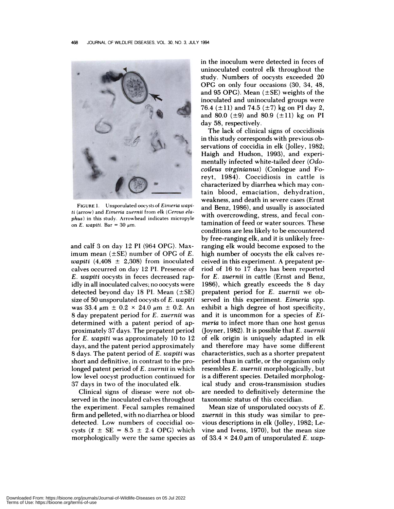

**FIGURE** 1. Unsporulated oocysts of *Eimeria wapiti* (arrow) and *Eimeria zuernii* from elk *(Cervus elaphus)* in this study. Arrowhead indicates micropyle on *E. wapiti.* Bar =  $30 \mu$ m.

and calf 3 on day 12 P1 (964 OPG). Maximum mean (±SE) number of OPG of *E. wapiti* (4,408 *±* 2,308) from inoculated calves occurred on day 12 Fl. Presence of *E. wapiti* oocysts in feces decreased rapidly in all inoculated calves; no oocysts were detected beyond day 18 PI. Mean  $(\pm SE)$ size of 50 unsporulated oocysts of *E. wapiti* was 33.4  $\mu$ m  $\pm$  0.2  $\times$  24.0  $\mu$ m  $\pm$  0.2. An 8 day prepatent period for *E. zuernii* was determined with a patent period of approximately 37 days. The prepatent period for *E. wapiti* was approximately 10 to 12 days, and the patent period approximately 8 days. The patent period of E. wapiti was short and definitive, in contrast to the prolonged patent period of *E. zuernii* in which low level oocyst production continued for 37 days in two of the inoculated elk.

Clinical signs of disease were not observed in the inoculated calves throughout the experiment. Fecal samples remained firm and pelleted, with no diarrhea or blood detected. Low numbers of coccidial **00** cysts  $(\bar{x} \pm \text{SE} = 8.5 \pm 2.4 \text{ OPG})$  which morphologically were the same species as

in the inoculum were detected in feces of uninoculated control elk throughout the study. Numbers of oocysts exceeded 20 OPG on only four occasions (30, 34, 48, and 95 OPG). Mean  $(\pm SE)$  weights of the inoculated and uninoculated groups were 76.4 ( $\pm$ 11) and 74.5 ( $\pm$ 7) kg on PI day 2, and 80.0 ( $\pm$ 9) and 80.9 ( $\pm$ 11) kg on PI day 58, respectively.

The lack of clinical signs of coccidiosis in this study corresponds with previous observations of coccidia in elk (Jolley, 1982; Haigh and Hudson, 1993), and expenimentally infected white-tailed deer *(Odocoileus virginianus)* (Con!ogue and Foreyt, 1984). Coccidiosis in cattle is characterized by diarrhea which may contain blood, emaciation, dehydration, weakness, and death in severe cases (Ernst and Benz, 1986), and usually is associated with overcrowding, stress, and fecal contamination of feed or water sources. These conditions are less likely to be encountered by free-ranging elk, and it is unlikely freeranging elk would become exposed to the high number of oocysts the elk calves re ceived in this experiment. A prepatent period of 16 to 17 days has been reported for *E. zuernii* in cattle (Ernst and Benz, 1986), which greatly exceeds the 8 day prepatent period for *E. zuernii* we observed in this experiment. *Eimeria* spp. exhibit a high degree of host specificity, and it is uncommon for a species of *Eimeria* to infect more than one host genus (Joynen, 1982). It is possible that *E. zuernii* of elk origin is uniquely adapted in elk and therefore may have some different characteristics, such as a shorter prepatent period than in cattle, or the organism only resembles *E. zuernii* morphologically, but is a different species. Detailed morphological study and cross-transmission studies are needed to definitively determine the taxonomic status of this coccidian.

Mean size of unsporulated oocysts of E. *zuernii* in this study was similar to previous descriptions in elk (Jo!ley, 1982; Levine and Ivens, 1970), but the mean size of 33.4  $\times$  24.0  $\mu$ m of unsporulated E. wap